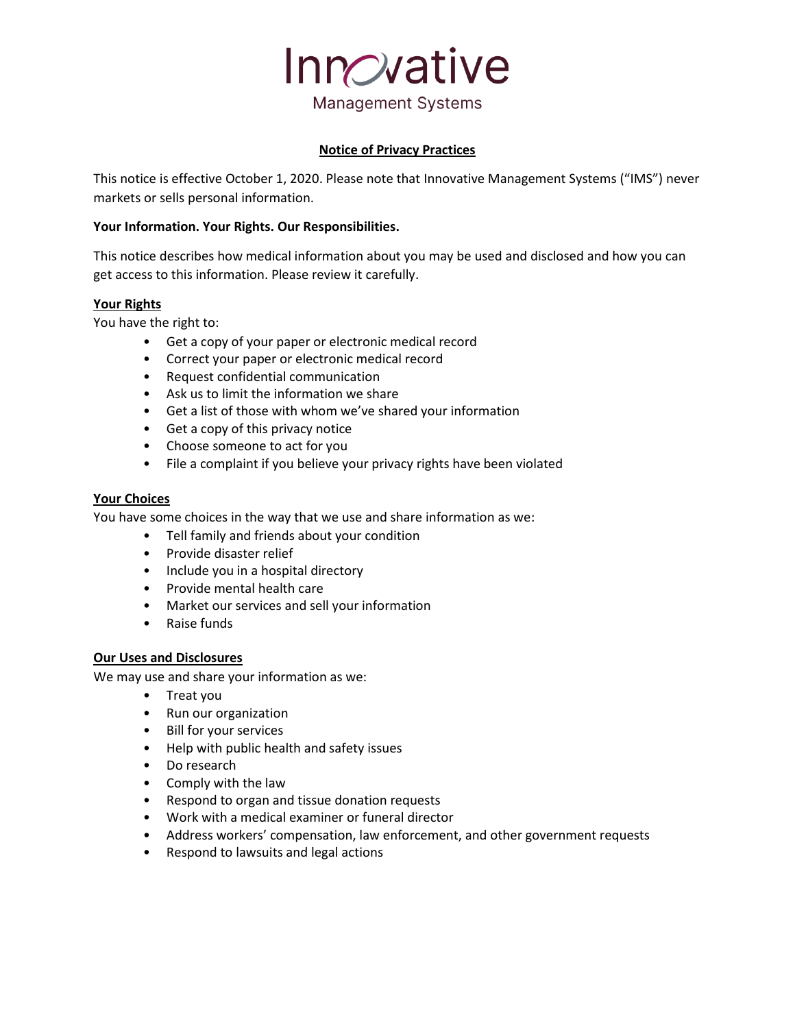### Innovative **Management Systems**

#### **Notice of Privacy Practices**

This notice is effective October 1, 2020. Please note that Innovative Management Systems ("IMS") never markets or sells personal information.

#### **Your Information. Your Rights. Our Responsibilities.**

This notice describes how medical information about you may be used and disclosed and how you can get access to this information. Please review it carefully.

#### **Your Rights**

You have the right to:

- Get a copy of your paper or electronic medical record
- Correct your paper or electronic medical record
- Request confidential communication
- Ask us to limit the information we share
- Get a list of those with whom we've shared your information
- Get a copy of this privacy notice
- Choose someone to act for you
- File a complaint if you believe your privacy rights have been violated

#### **Your Choices**

You have some choices in the way that we use and share information as we:

- Tell family and friends about your condition
- Provide disaster relief
- Include you in a hospital directory
- Provide mental health care
- Market our services and sell your information
- Raise funds

#### **Our Uses and Disclosures**

We may use and share your information as we:

- Treat you
- Run our organization
- Bill for your services
- Help with public health and safety issues
- Do research
- Comply with the law
- Respond to organ and tissue donation requests
- Work with a medical examiner or funeral director
- Address workers' compensation, law enforcement, and other government requests
- Respond to lawsuits and legal actions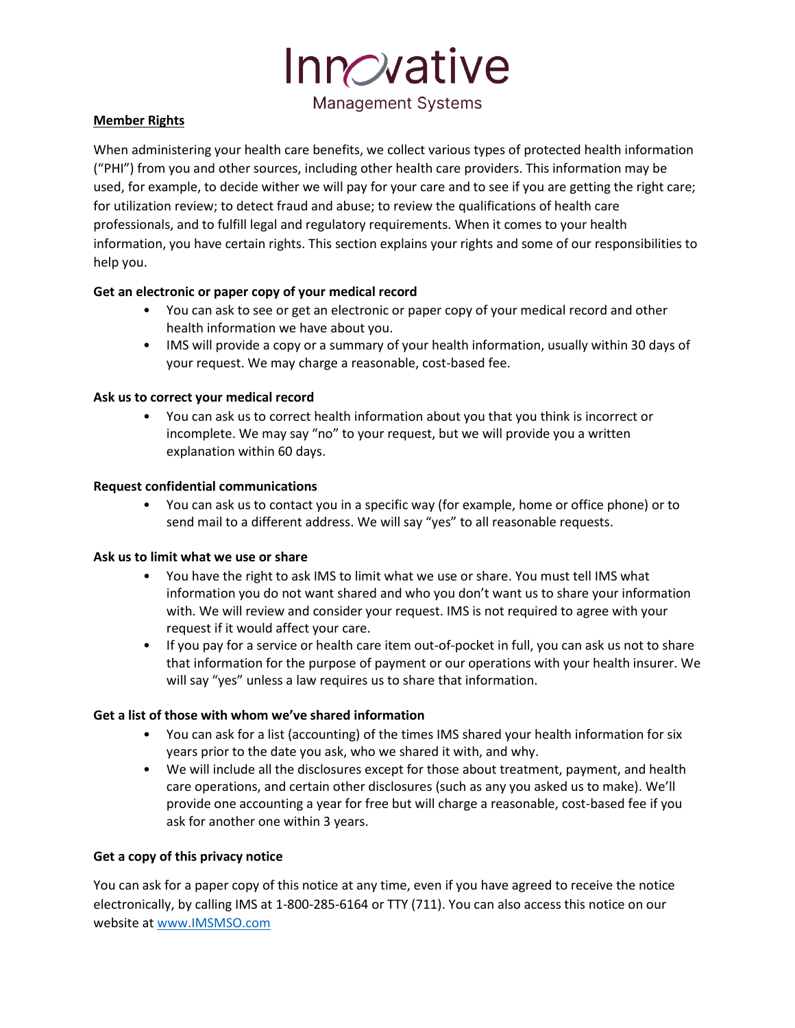**Management Systems** 

#### **Member Rights**

When administering your health care benefits, we collect various types of protected health information ("PHI") from you and other sources, including other health care providers. This information may be used, for example, to decide wither we will pay for your care and to see if you are getting the right care; for utilization review; to detect fraud and abuse; to review the qualifications of health care professionals, and to fulfill legal and regulatory requirements. When it comes to your health information, you have certain rights. This section explains your rights and some of our responsibilities to help you.

#### **Get an electronic or paper copy of your medical record**

- You can ask to see or get an electronic or paper copy of your medical record and other health information we have about you.
- IMS will provide a copy or a summary of your health information, usually within 30 days of your request. We may charge a reasonable, cost-based fee.

#### **Ask us to correct your medical record**

• You can ask us to correct health information about you that you think is incorrect or incomplete. We may say "no" to your request, but we will provide you a written explanation within 60 days.

#### **Request confidential communications**

• You can ask us to contact you in a specific way (for example, home or office phone) or to send mail to a different address. We will say "yes" to all reasonable requests.

#### **Ask us to limit what we use or share**

- You have the right to ask IMS to limit what we use or share. You must tell IMS what information you do not want shared and who you don't want us to share your information with. We will review and consider your request. IMS is not required to agree with your request if it would affect your care.
- If you pay for a service or health care item out-of-pocket in full, you can ask us not to share that information for the purpose of payment or our operations with your health insurer. We will say "yes" unless a law requires us to share that information.

#### **Get a list of those with whom we've shared information**

- You can ask for a list (accounting) of the times IMS shared your health information for six years prior to the date you ask, who we shared it with, and why.
- We will include all the disclosures except for those about treatment, payment, and health care operations, and certain other disclosures (such as any you asked us to make). We'll provide one accounting a year for free but will charge a reasonable, cost-based fee if you ask for another one within 3 years.

#### **Get a copy of this privacy notice**

You can ask for a paper copy of this notice at any time, even if you have agreed to receive the notice electronically, by calling IMS at 1-800-285-6164 or TTY (711). You can also access this notice on our website at [www.IMSMSO.com](http://www.imsmso.com/)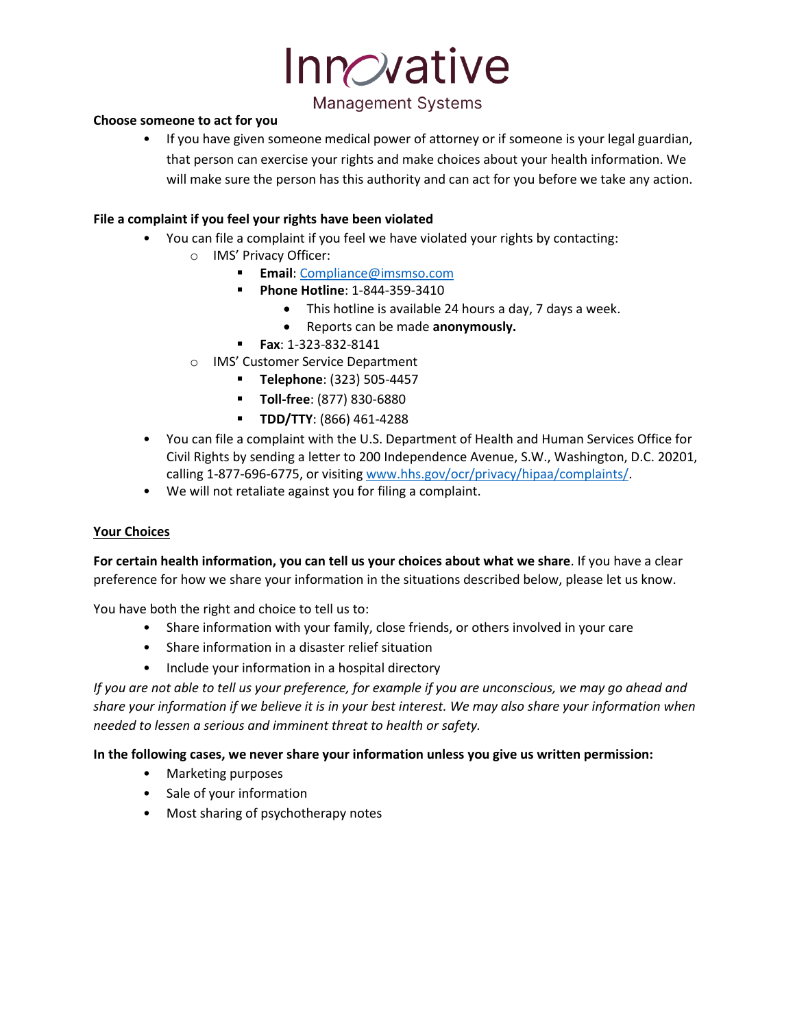### Management Systems

#### **Choose someone to act for you**

• If you have given someone medical power of attorney or if someone is your legal guardian, that person can exercise your rights and make choices about your health information. We will make sure the person has this authority and can act for you before we take any action.

#### **File a complaint if you feel your rights have been violated**

- You can file a complaint if you feel we have violated your rights by contacting:
	- o IMS' Privacy Officer:
		- **Email**: [Compliance@imsmso.com](mailto:Compliance@imsmso.com)
		- **Phone Hotline**: 1-844-359-3410
			- This hotline is available 24 hours a day, 7 days a week.
			- Reports can be made **anonymously.**
		- **Fax**: 1-323-832-8141
	- o IMS' Customer Service Department
		- **Telephone**: (323) 505-4457
		- **Toll-free**: (877) 830-6880
		- **TDD/TTY**: (866) 461-4288
- You can file a complaint with the U.S. Department of Health and Human Services Office for Civil Rights by sending a letter to 200 Independence Avenue, S.W., Washington, D.C. 20201, calling 1-877-696-6775, or visiting [www.hhs.gov/ocr/privacy/hipaa/complaints/.](http://www.hhs.gov/ocr/privacy/hipaa/complaints/)
- We will not retaliate against you for filing a complaint.

#### **Your Choices**

**For certain health information, you can tell us your choices about what we share**. If you have a clear preference for how we share your information in the situations described below, please let us know.

You have both the right and choice to tell us to:

- Share information with your family, close friends, or others involved in your care
- Share information in a disaster relief situation
- Include your information in a hospital directory

*If you are not able to tell us your preference, for example if you are unconscious, we may go ahead and share your information if we believe it is in your best interest. We may also share your information when needed to lessen a serious and imminent threat to health or safety.* 

**In the following cases, we never share your information unless you give us written permission:** 

- Marketing purposes
- Sale of your information
- Most sharing of psychotherapy notes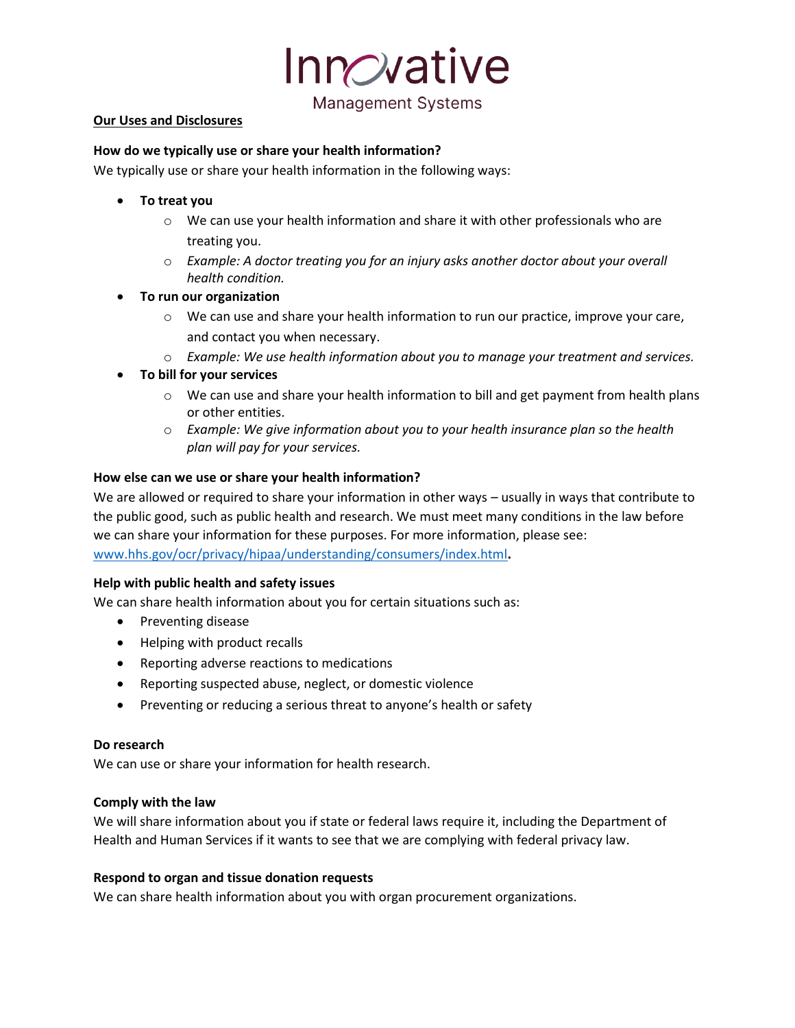**Management Systems** 

#### **Our Uses and Disclosures**

#### **How do we typically use or share your health information?**

We typically use or share your health information in the following ways:

- **To treat you**
	- $\circ$  We can use your health information and share it with other professionals who are treating you.
	- o *Example: A doctor treating you for an injury asks another doctor about your overall health condition.*
- **To run our organization**
	- $\circ$  We can use and share your health information to run our practice, improve your care, and contact you when necessary.
	- o *Example: We use health information about you to manage your treatment and services.*
- **To bill for your services**
	- $\circ$  We can use and share your health information to bill and get payment from health plans or other entities.
	- o *Example: We give information about you to your health insurance plan so the health plan will pay for your services.*

#### **How else can we use or share your health information?**

We are allowed or required to share your information in other ways – usually in ways that contribute to the public good, such as public health and research. We must meet many conditions in the law before we can share your information for these purposes. For more information, please see: [www.hhs.gov/ocr/privacy/hipaa/understanding/consumers/index.html](http://www.hhs.gov/ocr/privacy/hipaa/understanding/consumers/index.html)**.**

#### **Help with public health and safety issues**

We can share health information about you for certain situations such as:

- Preventing disease
- Helping with product recalls
- Reporting adverse reactions to medications
- Reporting suspected abuse, neglect, or domestic violence
- Preventing or reducing a serious threat to anyone's health or safety

#### **Do research**

We can use or share your information for health research.

#### **Comply with the law**

We will share information about you if state or federal laws require it, including the Department of Health and Human Services if it wants to see that we are complying with federal privacy law.

#### **Respond to organ and tissue donation requests**

We can share health information about you with organ procurement organizations.